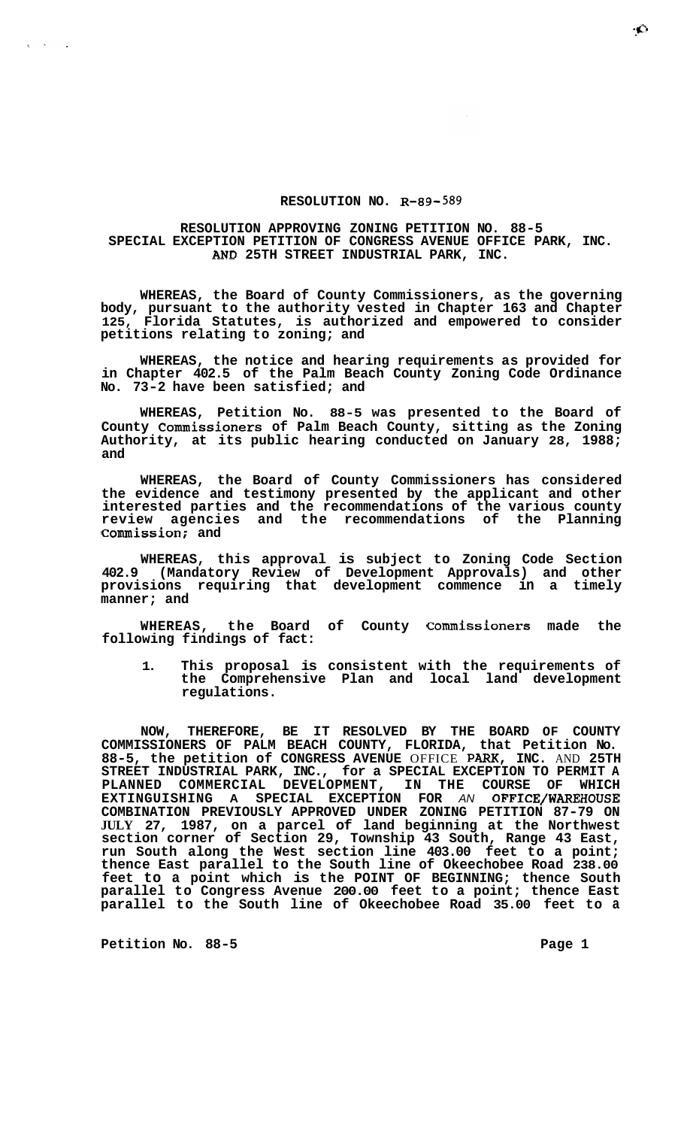## **RESOLUTION NO. R-89-589**

## **RESOLUTION APPROVING ZONING PETITION NO. 88-5 SPECIAL EXCEPTION PETITION OF CONGRESS AVENUE OFFICE PARK, INC. AND 25TH STREET INDUSTRIAL PARK, INC.**

**WHEREAS, the Board of County Commissioners, as the governing body, pursuant to the authority vested in Chapter 163 and Chapter 125, Florida Statutes, is authorized and empowered to consider petitions relating to zoning; and** 

**WHEREAS, the notice and hearing requirements as provided for in Chapter 402.5 of the Palm Beach County Zoning Code Ordinance No. 73-2 have been satisfied; and** 

**WHEREAS, Petition No. 88-5 was presented to the Board of County Commissioners of Palm Beach County, sitting as the Zoning Authority, at its public hearing conducted on January 28, 1988; and** 

**WHEREAS, the Board of County Commissioners has considered the evidence and testimony presented by the applicant and other interested parties and the recommendations of the various county review agencies and the recommendations of the Planning Commission; and** 

**WHEREAS, this approval is subject to Zoning Code Section 402.9 (Mandatory Review of Development Approvals) and other provisions requiring that development commence in a timely manner; and** 

**WHEREAS, the Board of County Commissioners made the following findings of fact:** 

**1. This proposal is consistent with the requirements of the Comprehensive Plan and local land development regulations.** 

**NOW, THEREFORE, BE IT RESOLVED BY THE BOARD OF COUNTY COMMISSIONERS OF PALM BEACH COUNTY, FLORIDA, that Petition No. 88-5, the petition of CONGRESS AVENUE** OFFICE **PARX, INC.** AND **25TH STREET INDUSTRIAL PARK, INC., for a SPECIAL EXCEPTION TO PERMIT A**  PLANNED COMMERCIAL DEVELOPMENT, IN THE COURSE OF **EXTINGUISHING A SPECIAL EXCEPTION FOR** *AN* **OFFICE/WAREHOUSE COMBINATION PREVIOUSLY APPROVED UNDER ZONING PETITION 87-79 ON JULY 27, 1987, on a parcel of land beginning at the Northwest section corner of Section 29, Township 43 South, Range 43 East, run South along the West section line 403.00 feet to a point; thence East parallel to the South line of Okeechobee Road 238.00 feet to a point which is the POINT OF BEGINNING; thence South parallel to Congress Avenue 200.00 feet to a point; thence East parallel to the South line of Okeechobee Road 35.00 feet to a** 

Petition No. 88-5 **Page 1 Page 1** 

 $\sim 10^{-11}$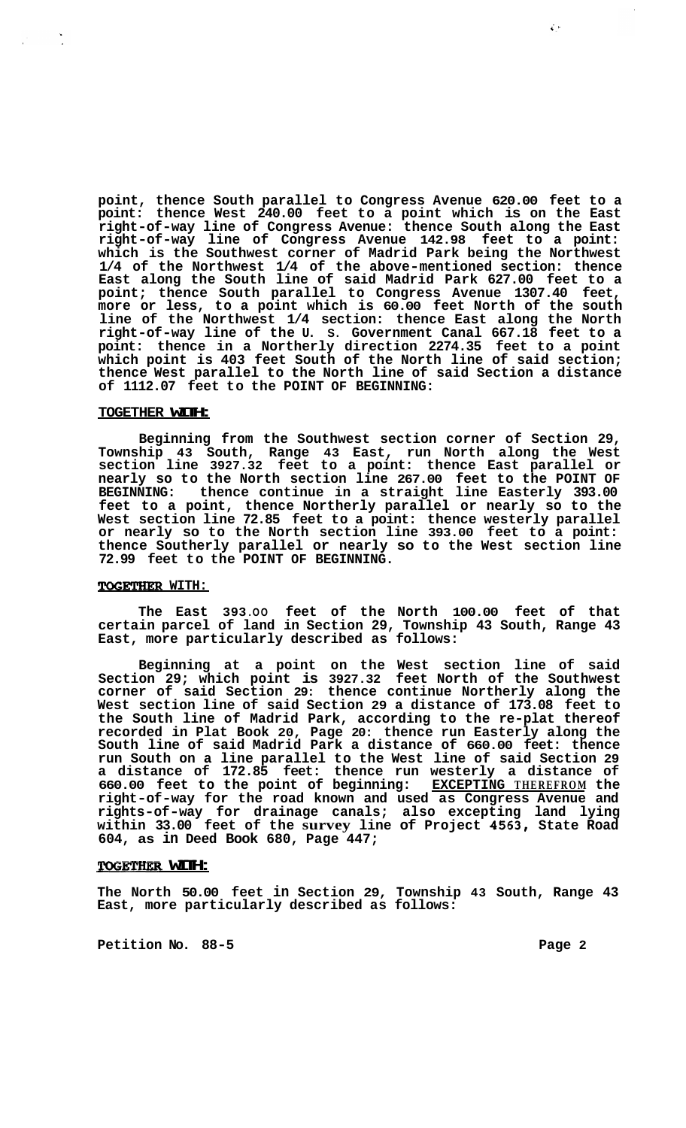**point, thence South parallel to Congress Avenue 620.00 feet to a point: thence West 240.00 feet to a point which is on the East right-of-way line of Congress Avenue: thence South along the East right-of-way line of Congress Avenue 142.98 feet to a point: which is the Southwest corner of Madrid Park being the Northwest 1/4 of the Northwest 1/4 of the above-mentioned section: thence East along the South line of said Madrid Park 627.00 feet to a point; thence South parallel to Congress Avenue 1307.40 feet, more or less, to a point which is 60.00 feet North of the south line of the Northwest 1/4 section: thence East along the North right-of-way line of the U. S. Government Canal 667.18 feet to a point: thence in a Northerly direction 2274.35 feet to a point which point is 403 feet South of the North line of said section; thence West parallel to the North line of said Section a distance of 1112.07 feet to the POINT OF BEGINNING:** 

#### **TOGETHER WITH:**

 $\mathcal{L}^{\text{max}}$ 

**Beginning from the Southwest section corner of Section 29, Township 43 South, Range 43 East, run North along the West section line 3927.32 feet to a point: thence East parallel or nearly so to the North section line 267.00 feet to the POINT OF BEGINNING: thence continue in a straight line Easterly 393.00 feet to a point, thence Northerly parallel or nearly so to the West section line 72.85 feet to a point: thence westerly parallel or nearly so to the North section line 393.00 feet to a point: thence Southerly parallel or nearly so to the West section line 72.99 feet to the POINT OF BEGINNING.** 

## ToGETHeR **WITH:**

**The East 393 .OO feet of the North 100.00 feet of that certain parcel of land in Section 29, Township 43 South, Range 43 East, more particularly described as follows:** 

**Beginning at a point on the West section line of said Section 29; which point is 3927.32 feet North of the Southwest corner of said Section 29: thence continue Northerly along the West section line of said Section 29 a distance of 173.08 feet to the South line of Madrid Park, according to the re-plat thereof recorded in Plat Book 20, Page 20: thence run Easterly along the South line of said Madrid Park a distance of 660.00 feet: thence run South on a line parallel to the West line of said Section 29 a distance of 172.85 feet: thence run westerly a distance of 660.00 feet to the point of beginning: EXCEPTING THEREFROM the right-of-way for the road known and used as Congress Avenue and rights-of-way for drainage canals; also excepting land lying within 33.00 feet of the survey line of Project 4563, State Road 604, as in Deed Book 680, Page 447;** 

## **TOGETHER WITH:**

**The North 50.00 feet in Section 29, Township 43 South, Range 43 East, more particularly described as follows:** 

Petition No. 88-5 **Page 2 Page 2** 

 $\hat{\mathcal{L}}$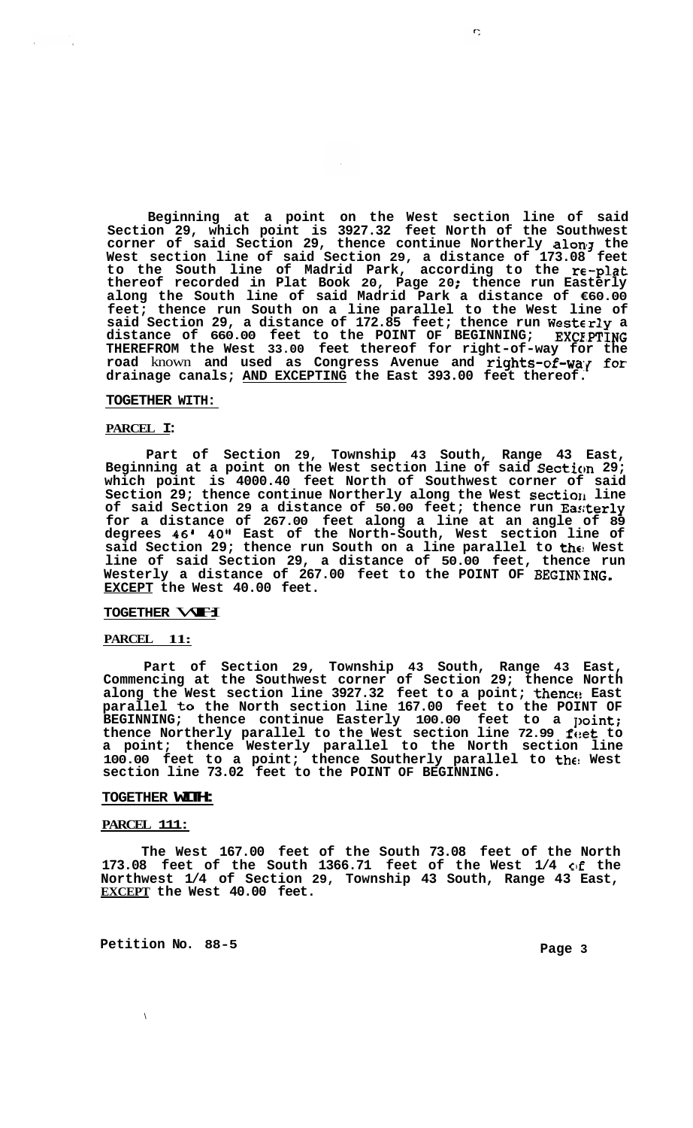**Beginning at a point on the West section line of said Section 29, which point is 3927.32 feet North of the Southwest corner of said Section 29, thence continue Northerly alonz the West section line of said Section 29, a distance of 173.08 feet to the South line of Madrid Park, according to the re-plat thereof recorded in Plat Book 20, Page 20** ; **thence run Easterly along the South line of said Madrid Park a distance of €60.00 feet; thence run South on a line parallel to the West line of said Section 29, a distance of 172.85 feet; thence run Westcrly a distance of 660.00 feet to the POINT OF BEGINNING; EXCE;PTING THEREFROM the West 33.00 feet thereof for right-of-way for the**  road known and used as Congress Avenue and rights-of-way for **drainage canals; AND EXCEPTING the East 393.00 feet thereof.** 

#### **TOGETHER WITH:**

## **PARCEL I:**

**Part of Section 29, Township 43 South, Range 43 East, Beginning at a point on the West section line of said Secticm 29; which point is 4000.40 feet North of Southwest corner of said Section 29; thence continue Northerly along the West sectiorl line of said Section 29 a distance of 50.00 feet; thence run Eas;terly for a distance of 267.00 feet along a line at an angle of 89 degrees 46' 40" East of the North-South, West section line of said Section 29; thence run South on a line parallel to the! West line of said Section 29, a distance of 50.00 feet, thence run Westerly a distance of 267.00 feet to the POINT OF BEGINKING. EXCEPT the West 40.00 feet.** 

## TOGETHER **WHI**

#### **PARCEL 11:**

**Part of Section 29, Township 43 South, Range 43 East, Commencing at the Southwest corner of Section 29; thence North**  along the West section line 3927.32 feet to a point; thence East **parallel to the North section line 167.00 feet to the POINT OF**  BEGINNING; thence continue Easterly 100.00 feet to a point; thence Northerly parallel to the West section line 72.99 feet to **a point; thence Westerly parallel to the North section line 100.00 feet to a point; thence Southerly parallel to the! West section line 73.02 feet to the POINT OF BEGINNING.** 

#### **TOGETHER WITH:**

## **PARCEL 111:**

**The West 167.00 feet of the South 73.08 feet of the North**  173.08 feet of the South 1366.71 feet of the West 1/4 of the **Northwest 1/4 of Section 29, Township 43 South, Range 43 East, EXCEPT the West 40.00 feet.** 

Petition No. 88-5 **Page 3 Page 3** 

 $\sqrt{2}$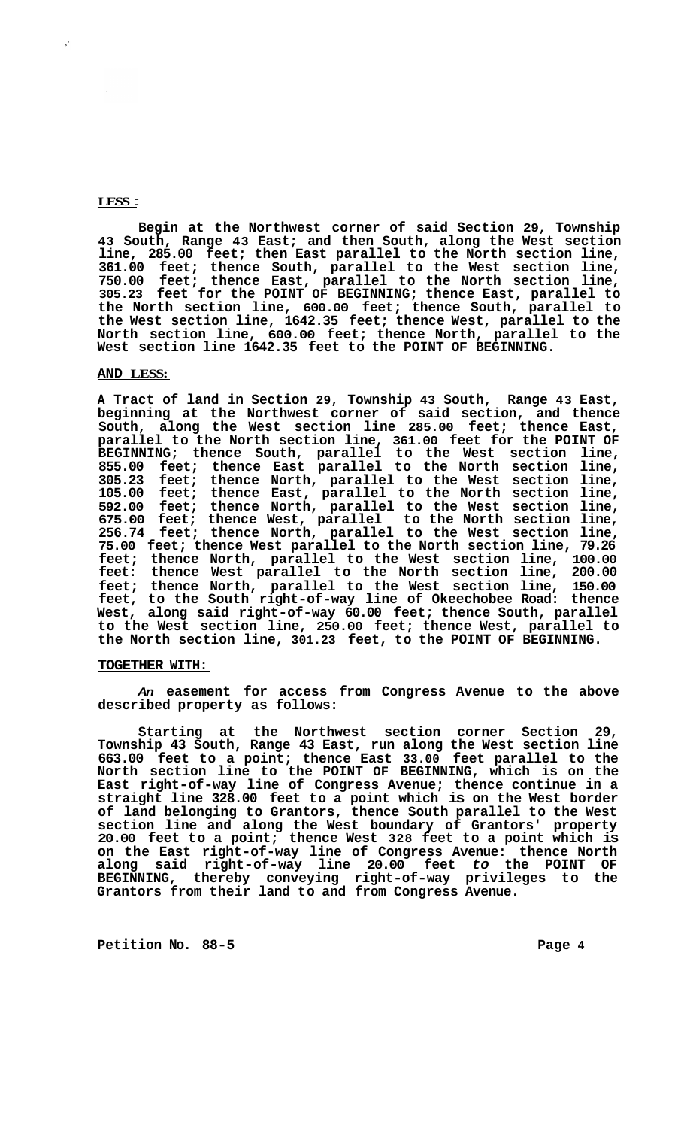## **LESS** :

 $\mathcal{C}$ 

**Begin at the Northwest corner of said Section 29, Township 43 South, Range 43 East; and then South, along the West section line, 285.00 feet; then East parallel to the North section line, 361.00 feet; thence South, parallel to the West section line, 750.00 feet; thence East, parallel to the North section line, 305.23 feet for the POINT OF BEGINNING; thence East, parallel to the North section line, 600.00 feet; thence South, parallel to the West section line, 1642.35 feet; thence West, parallel to the North section line, 600.00 feet; thence North, parallel to the West section line 1642.35 feet to the POINT OF BEGINNING.** 

#### **AND LESS:**

**A Tract of land in Section 29, Township 43 South, Range 43 East, beginning at the Northwest corner of said section, and thence South, along the West section line 285.00 feet; thence East, parallel to the North section line, 361.00 feet for the POINT OF BEGINNING; thence South, parallel to the West section line, 855.00 feet; thence East parallel to the North section line, 305.23 feet; thence North, parallel to the West section line, 105.00 feet; thence East, parallel to the North section line, 592.00 feet; thence North, parallel to the West section line, 675.00 feet; thence West, parallel to the North section line, 256.74 feet; thence North, parallel to the West section line, 75.00 feet; thence West parallel to the North section line, 79.26 feet; thence North, parallel to the West section line, 100.00 feet: thence West parallel to the North section line, 200.00 feet; thence North, parallel to the West section line, 150.00 feet, to the South right-of-way line of Okeechobee Road: thence West, along said right-of-way 60.00 feet; thence South, parallel to the West section line, 250.00 feet; thence West, parallel to the North section line, 301.23 feet, to the POINT OF BEGINNING.** 

## **TOGETHER WITH:**

*An* **easement for access from Congress Avenue to the above described property as follows:** 

**Starting at the Northwest section corner Section 29, Township 43 South, Range 43 East, run along the West section line 663.00 feet to a point; thence East 33.00 feet parallel to the North section line to the POINT OF BEGINNING, which is on the East right-of-way line of Congress Avenue; thence continue in a straight line 328.00 feet to a point which is on the West border of land belonging to Grantors, thence South parallel to the West section line and along the West boundary of Grantors' property 20.00 feet to a point; thence West 328 feet to a point which is on the East right-of-way line of Congress Avenue: thence North along said right-of-way line 20.00 feet** *to* **the POINT OF BEGINNING, thereby conveying right-of-way privileges to the Grantors from their land to and from Congress Avenue.**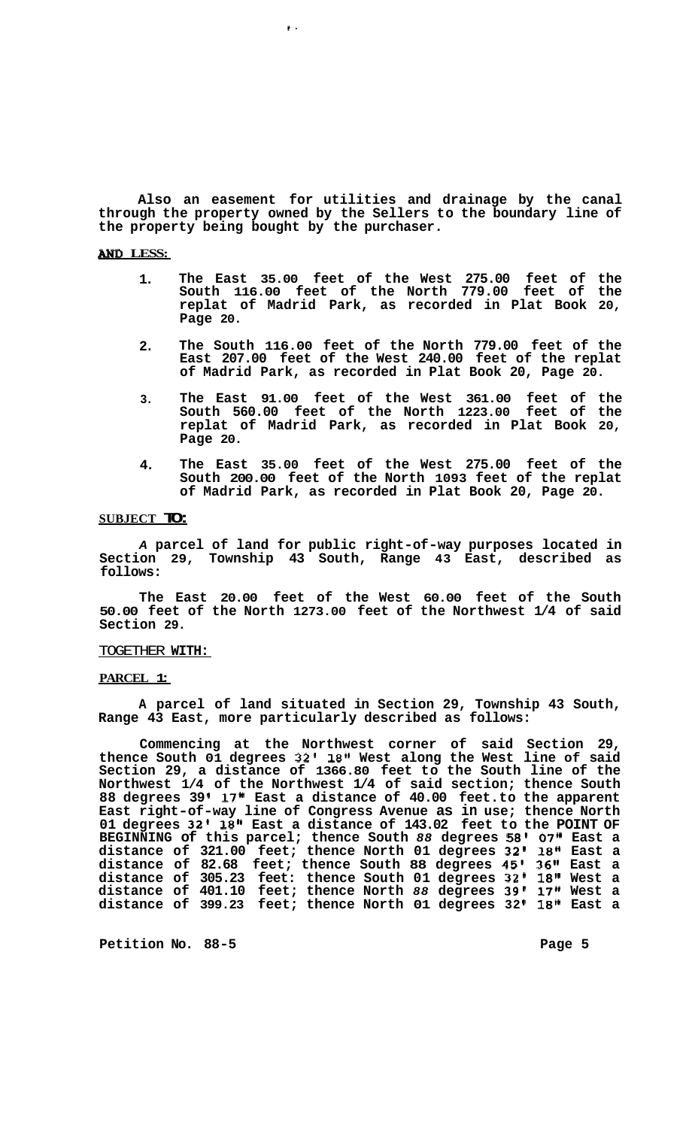**Also an easement for utilities and drainage by the canal through the property owned by the Sellers to the boundary line of the property being bought by the purchaser.** 

**t.** 

## *AND* **LESS:**

- **1. The East 35.00 feet of the West 275.00 feet of the South 116.00 feet of the North 779.00 feet of the replat of Madrid Park, as recorded in Plat Book 20, Page 20.**
- **2. The South 116.00 feet of the North 779.00 feet of the East 207.00 feet of the West 240.00 feet of the replat of Madrid Park, as recorded in Plat Book 20, Page 20.**
- **3. The East 91.00 feet of the West 361.00 feet of the South 560.00 feet of the North 1223.00 feet of the replat of Madrid Park, as recorded in Plat Book 20, Page 20.**
- **4. The East 35.00 feet of the West 275.00 feet of the South 200.00 feet of the North 1093 feet of the replat of Madrid Park, as recorded in Plat Book 20, Page 20.**

## **SUBJECT TO:**

*A* **parcel of land for public right-of-way purposes located in Section 29, Township 43 South, Range 43 East, described as follows:** 

**The East 20.00 feet of the West 60.00 feet of the South 50.00 feet of the North 1273.00 feet of the Northwest 1/4 of said Section 29.** 

### TOGETHER **WITH:**

#### **PARCEL 1:**

**A parcel of land situated in Section 29, Township 43 South, Range 43 East, more particularly described as follows:** 

**Commencing at the Northwest corner of said Section 29, thence South 01 degrees 32' 18" West along the West line of said Section 29, a distance of 1366.80 feet to the South line of the Northwest 1/4 of the Northwest 1/4 of said section; thence South 88 degrees 39 17" East a distance of 40.00 feet. to the apparent East right-of-way line of Congress Avenue as in use; thence North 01 degrees 32' 18" East a distance of 143.02 feet to the POINT OF BEGINNING of this parcel; thence South** *88* **degrees 58' 07" East a distance of 321.00 feet; thence North 01 degrees 32' 18" East a distance of 82.68 feet; thence South 88 degrees 45' 36" East a distance of 305.23 feet: thence South 01 degrees 32' 18" West a distance of 401.10 feet; thence North** *88* **degrees 39' 17" West a**  distance of 399.23 feet; thence North 01 degrees 32' 18" East a

Petition No. 88-5 **Page 5 Page 5**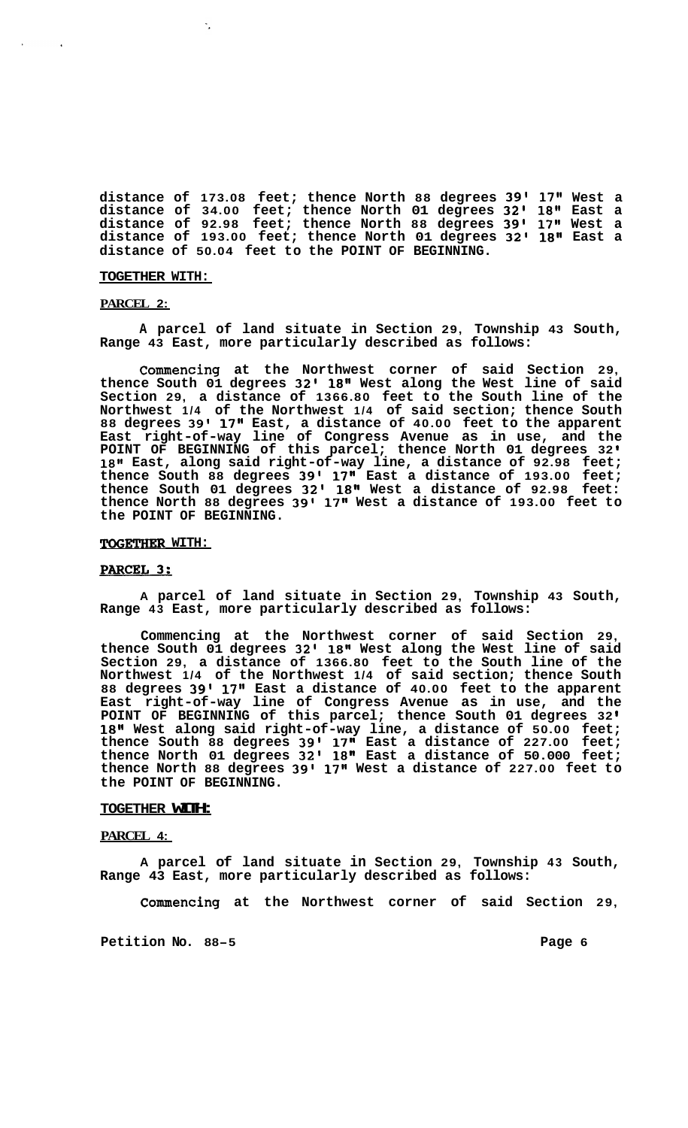**distance of 173.08 feet; thence North 88 degrees 39'** 17'l **West a distance of 34.00 feet; thence North 01 degrees 32' 18" East a distance of 92.98 feet; thence North 88 degrees 39' 17" West a distance of 193.00 feet; thence North 01 degrees 32' 18" East a distance of 50.04 feet to the POINT OF BEGINNING.** 

#### **TOGETHER WITH:**

 $\ddot{\phantom{a}}$ 

#### **PARCEL 2:**

**A parcel of land situate in Section 29, Township 43 South, Range 43 East, more particularly described as follows:** 

**Commencing at the Northwest corner of said Section 29, thence South 01 degrees 32' 18'' West along the West line of said Section 29, a distance of 1366.80 feet to the South line of the Northwest 1/4 of the Northwest 1/4 of said section; thence South 88 degrees 39' 17" East, a distance of 40.00 feet to the apparent East right-of-way line of Congress Avenue as in use, and the POINT OF BEGINNING of this parcel; thence North 01 degrees 32 18" East, along said right-of-way line, a distance of 92.98 feet; thence South 88 degrees 39' 17" East a distance of 193.00 feet; thence South 01 degrees 32' 18'' West a distance of 92.98 feet: thence North 88 degrees 39l 17'' West a distance of 193.00 feet to the POINT OF BEGINNING.** 

## **TOGETHER WITH:**

### PARCEL 3:

**A parcel of land situate in Section 29, Township 43 South, Range 43 East, more particularly described as follows:** 

**Commencing at the Northwest corner of said Section 29, thence South 01 degrees 32' 18" West along the West line of said Section 29, a distance of 1366.80 feet to the South line of the Northwest 1/4 of the Northwest 1/4 of said section; thence South 88 degrees 39' 17'' East a distance of 40.00 feet to the apparent East right-of-way line of Congress Avenue as in use, and the POINT OF BEGINNING of this parcel; thence South 01 degrees 32 18" West along said right-of-way line, a distance of 50.00 feet; thence South 88 degrees 39' 17" East a distance of 227.00 feet; thence North 01 degrees 32' 18" East a distance of 50.000 feet; thence North 88 degrees 39' 17" West a distance of 227.00 feet to the POINT OF BEGINNING.** 

## **TOGETHER WITH:**

## **PARCEL 4:**

**A parcel of land situate in Section 29, Township 43 South, Range 43 East, more particularly described as follows:** 

**Commencing at the Northwest corner of said Section 29,**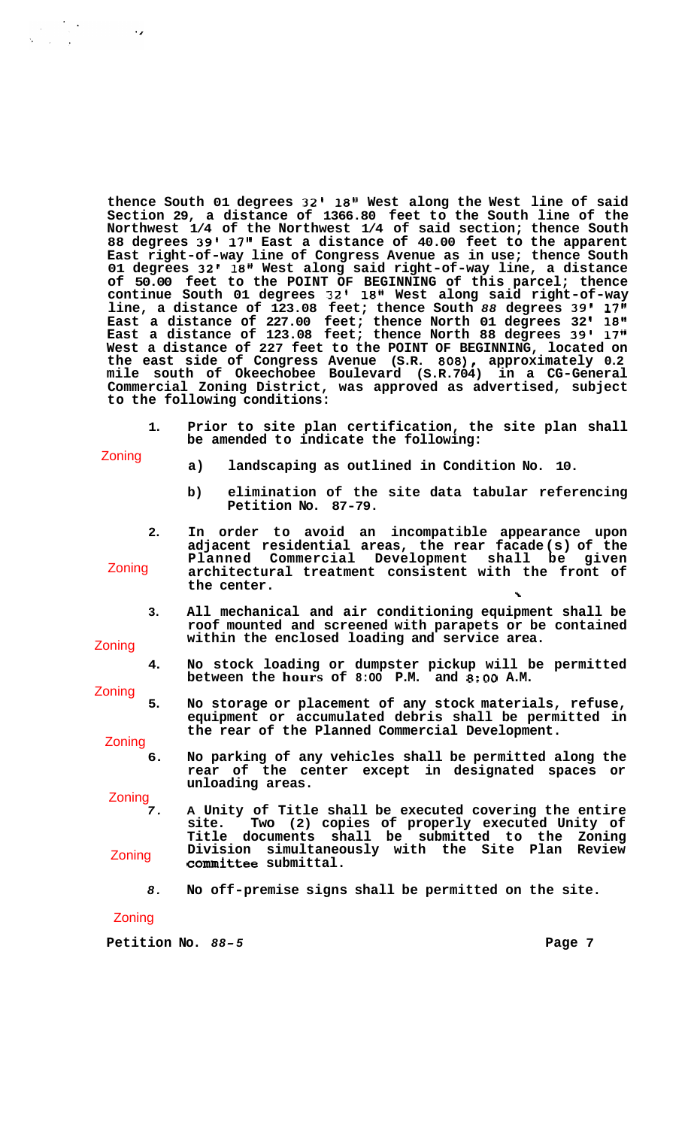**thence South 01 degrees 32' 1811 West along the West line of said Section 29, a distance of 1366.80 feet to the South line of the Northwest 1/4 of the Northwest 1/4 of said section; thence South 88 degrees 39' 17" East a distance of 40.00 feet to the apparent East right-of-way line of Congress Avenue as in use; thence South 01 degrees 32' 18" West along said right-of-way line, a distance of 50.00 feet to the POINT OF BEGINNING of this parcel; thence continue South 01 degrees 32' 18" West along said right-of-way line, a distance of 123.08 feet; thence South** *88* **degrees 39' 17"**  East a distance of 227.00 feet; thence North 01 degrees 32' 18" **East a distance of 123.08 feet; thence North 88 degrees 39' 17'' West a distance of 227 feet to the POINT OF BEGINNING, located on the east side of Congress Avenue (S.R. 808), approximately 0.2 mile south of Okeechobee Boulevard (S.R.704) in a CG-General Commercial Zoning District, was approved as advertised, subject to the following conditions:** 

**1. Prior to site plan certification, the site plan shall be amended to indicate the following:** 

Zoning

 $\mathcal{L} = \mathcal{L} \mathcal{L}$ 

 $\cdot$ 

- **a) landscaping as outlined in Condition No. 10.**
- **b) elimination of the site data tabular referencing Petition No. 87-79.**
- **2. In order to avoid an incompatible appearance upon adjacent residential areas, the rear facade (s) of the Planned Commercial Development shall be given architectural treatment consistent with the front of the center. 1**  Zoning
	- **3. All mechanical and air conditioning equipment shall be roof mounted and screened with parapets or be contained within the enclosed loading and service area.**
- Zoning
	- **4. No stock loading or dumpster pickup will be permitted between the hours of 8:OO P.M. and** *8:OO* **A.M.**

Zoning

**5. No storage or placement of any stock materials, refuse, equipment or accumulated debris shall be permitted in the rear of the Planned Commercial Development.** 

Zoning

**6. No parking of any vehicles shall be permitted along the rear of the center except in designated spaces or unloading areas.** 

Zoning

- *7.*  **A Unity of Title shall be executed covering the entire site. Two (2) copies of properly executed Unity of Title documents shall be submitted to the Zoning Division simultaneously with the Site Plan Review committee submittal.**  Zoning
	- *8.*  **No off-premise signs shall be permitted on the site.**

Zoning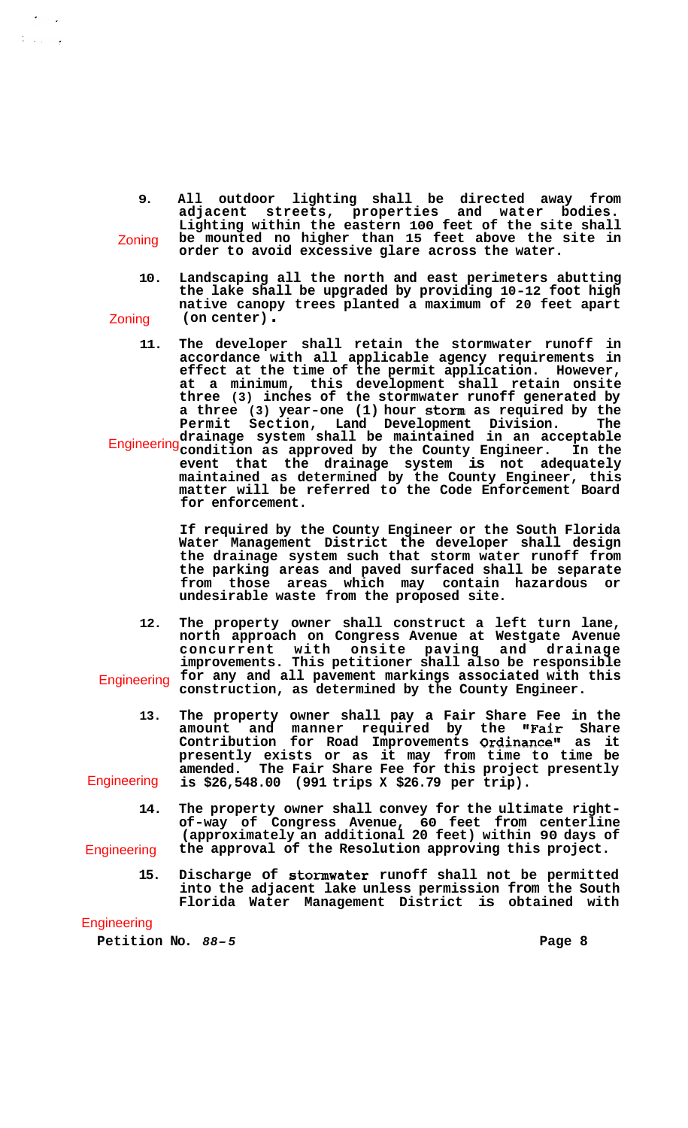- **9. All outdoor lighting shall be directed away from adjacent streets, properties and water bodies. Lighting within the eastern 100 feet of the site shall be mounted no higher than 15 feet above the site in order to avoid excessive glare across the water.**  Zoning
- **10. Landscaping all the north and east perimeters abutting the lake shall be upgraded by providing 10-12 foot high native canopy trees planted a maximum of 20 feet apart (on center)** . Zoning
- **11. The developer shall retain the stormwater runoff in accordance with all applicable agency requirements in effect at the time of the permit application. However, at a minimum, this development shall retain onsite three (3) inches of the stormwater runoff generated by a three (3) year-one (1) hour storm as required by the Permit Section, Land Development Division. The drainage system shall be maintained in an acceptable condition as approved by the County Engineer. In the event that the drainage system is not adequately Engineering**

**maintained as determined by the County Engineer, this matter will be referred to the Code Enforcement Board for enforcement.** 

**If required by the County Engineer or the South Florida Water Management District the developer shall design the drainage system such that storm water runoff from the parking areas and paved surfaced shall be separate from those areas which may contain hazardous or undesirable waste from the proposed site.** 

- **12. The property owner shall construct a left turn lane, north approach on Congress Avenue at Westgate Avenue concurrent with onsite paving and drainage improvements. This petitioner shall also be responsible for any and all pavement markings associated with this construction, as determined by the County Engineer. Engineering**
- **13. The property owner shall pay a Fair Share Fee in the amount and manner required by the "Fair Share**  Contribution for Road Improvements Ordinance" as it **presently exists or as it may from time to time be amended. The Fair Share Fee for this project presently is \$26,548.00 (991 trips X \$26.79 per trip). Engineering**
- **14. The property owner shall convey for the ultimate right- of-way of Congress Avenue, 60 feet from centerline (approximately an additional 20 feet) within 90 days of the approval of the Resolution approving this project. Engineering** 
	- **15. Discharge of stomwater runoff shall not be permitted into the adjacent lake unless permission from the South Florida Water Management District is obtained with**

## **Engineering**

 $\mathcal{V}$  , and  $\mathcal{V}$